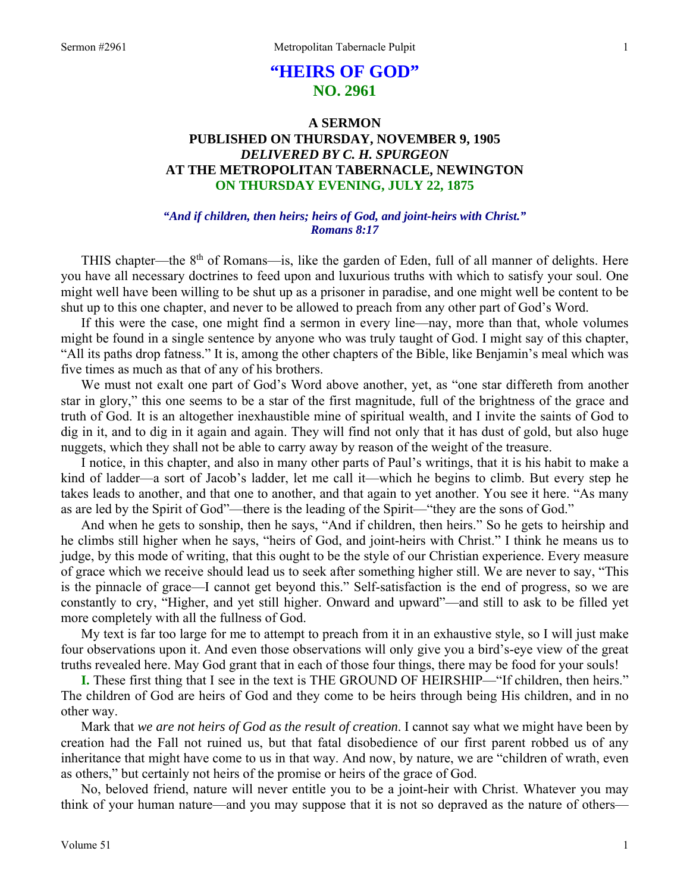# **"HEIRS OF GOD" NO. 2961**

## **A SERMON PUBLISHED ON THURSDAY, NOVEMBER 9, 1905**  *DELIVERED BY C. H. SPURGEON*  **AT THE METROPOLITAN TABERNACLE, NEWINGTON ON THURSDAY EVENING, JULY 22, 1875**

### *"And if children, then heirs; heirs of God, and joint-heirs with Christ." Romans 8:17*

THIS chapter—the 8<sup>th</sup> of Romans—is, like the garden of Eden, full of all manner of delights. Here you have all necessary doctrines to feed upon and luxurious truths with which to satisfy your soul. One might well have been willing to be shut up as a prisoner in paradise, and one might well be content to be shut up to this one chapter, and never to be allowed to preach from any other part of God's Word.

 If this were the case, one might find a sermon in every line—nay, more than that, whole volumes might be found in a single sentence by anyone who was truly taught of God. I might say of this chapter, "All its paths drop fatness." It is, among the other chapters of the Bible, like Benjamin's meal which was five times as much as that of any of his brothers.

 We must not exalt one part of God's Word above another, yet, as "one star differeth from another star in glory," this one seems to be a star of the first magnitude, full of the brightness of the grace and truth of God. It is an altogether inexhaustible mine of spiritual wealth, and I invite the saints of God to dig in it, and to dig in it again and again. They will find not only that it has dust of gold, but also huge nuggets, which they shall not be able to carry away by reason of the weight of the treasure.

 I notice, in this chapter, and also in many other parts of Paul's writings, that it is his habit to make a kind of ladder—a sort of Jacob's ladder, let me call it—which he begins to climb. But every step he takes leads to another, and that one to another, and that again to yet another. You see it here. "As many as are led by the Spirit of God"—there is the leading of the Spirit—"they are the sons of God."

 And when he gets to sonship, then he says, "And if children, then heirs." So he gets to heirship and he climbs still higher when he says, "heirs of God, and joint-heirs with Christ." I think he means us to judge, by this mode of writing, that this ought to be the style of our Christian experience. Every measure of grace which we receive should lead us to seek after something higher still. We are never to say, "This is the pinnacle of grace—I cannot get beyond this." Self-satisfaction is the end of progress, so we are constantly to cry, "Higher, and yet still higher. Onward and upward"—and still to ask to be filled yet more completely with all the fullness of God.

 My text is far too large for me to attempt to preach from it in an exhaustive style, so I will just make four observations upon it. And even those observations will only give you a bird's-eye view of the great truths revealed here. May God grant that in each of those four things, there may be food for your souls!

**I.** These first thing that I see in the text is THE GROUND OF HEIRSHIP—"If children, then heirs." The children of God are heirs of God and they come to be heirs through being His children, and in no other way.

 Mark that *we are not heirs of God as the result of creation*. I cannot say what we might have been by creation had the Fall not ruined us, but that fatal disobedience of our first parent robbed us of any inheritance that might have come to us in that way. And now, by nature, we are "children of wrath, even as others," but certainly not heirs of the promise or heirs of the grace of God.

 No, beloved friend, nature will never entitle you to be a joint-heir with Christ. Whatever you may think of your human nature—and you may suppose that it is not so depraved as the nature of others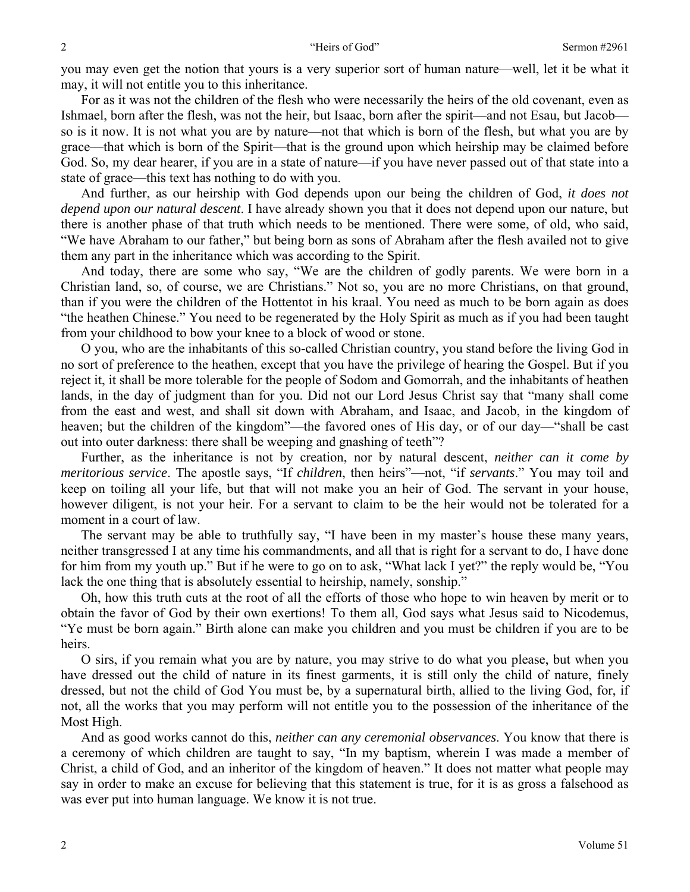you may even get the notion that yours is a very superior sort of human nature—well, let it be what it may, it will not entitle you to this inheritance.

 For as it was not the children of the flesh who were necessarily the heirs of the old covenant, even as Ishmael, born after the flesh, was not the heir, but Isaac, born after the spirit—and not Esau, but Jacob so is it now. It is not what you are by nature—not that which is born of the flesh, but what you are by grace—that which is born of the Spirit—that is the ground upon which heirship may be claimed before God. So, my dear hearer, if you are in a state of nature—if you have never passed out of that state into a state of grace—this text has nothing to do with you.

 And further, as our heirship with God depends upon our being the children of God, *it does not depend upon our natural descent*. I have already shown you that it does not depend upon our nature, but there is another phase of that truth which needs to be mentioned. There were some, of old, who said, "We have Abraham to our father," but being born as sons of Abraham after the flesh availed not to give them any part in the inheritance which was according to the Spirit.

 And today, there are some who say, "We are the children of godly parents. We were born in a Christian land, so, of course, we are Christians." Not so, you are no more Christians, on that ground, than if you were the children of the Hottentot in his kraal. You need as much to be born again as does "the heathen Chinese." You need to be regenerated by the Holy Spirit as much as if you had been taught from your childhood to bow your knee to a block of wood or stone.

 O you, who are the inhabitants of this so-called Christian country, you stand before the living God in no sort of preference to the heathen, except that you have the privilege of hearing the Gospel. But if you reject it, it shall be more tolerable for the people of Sodom and Gomorrah, and the inhabitants of heathen lands, in the day of judgment than for you. Did not our Lord Jesus Christ say that "many shall come from the east and west, and shall sit down with Abraham, and Isaac, and Jacob, in the kingdom of heaven; but the children of the kingdom"—the favored ones of His day, or of our day—"shall be cast out into outer darkness: there shall be weeping and gnashing of teeth"?

 Further, as the inheritance is not by creation, nor by natural descent, *neither can it come by meritorious service*. The apostle says, "If *children*, then heirs"—not, "if *servants*." You may toil and keep on toiling all your life, but that will not make you an heir of God. The servant in your house, however diligent, is not your heir. For a servant to claim to be the heir would not be tolerated for a moment in a court of law.

 The servant may be able to truthfully say, "I have been in my master's house these many years, neither transgressed I at any time his commandments, and all that is right for a servant to do, I have done for him from my youth up." But if he were to go on to ask, "What lack I yet?" the reply would be, "You lack the one thing that is absolutely essential to heirship, namely, sonship."

 Oh, how this truth cuts at the root of all the efforts of those who hope to win heaven by merit or to obtain the favor of God by their own exertions! To them all, God says what Jesus said to Nicodemus, "Ye must be born again." Birth alone can make you children and you must be children if you are to be heirs.

 O sirs, if you remain what you are by nature, you may strive to do what you please, but when you have dressed out the child of nature in its finest garments, it is still only the child of nature, finely dressed, but not the child of God You must be, by a supernatural birth, allied to the living God, for, if not, all the works that you may perform will not entitle you to the possession of the inheritance of the Most High.

 And as good works cannot do this, *neither can any ceremonial observances*. You know that there is a ceremony of which children are taught to say, "In my baptism, wherein I was made a member of Christ, a child of God, and an inheritor of the kingdom of heaven." It does not matter what people may say in order to make an excuse for believing that this statement is true, for it is as gross a falsehood as was ever put into human language. We know it is not true.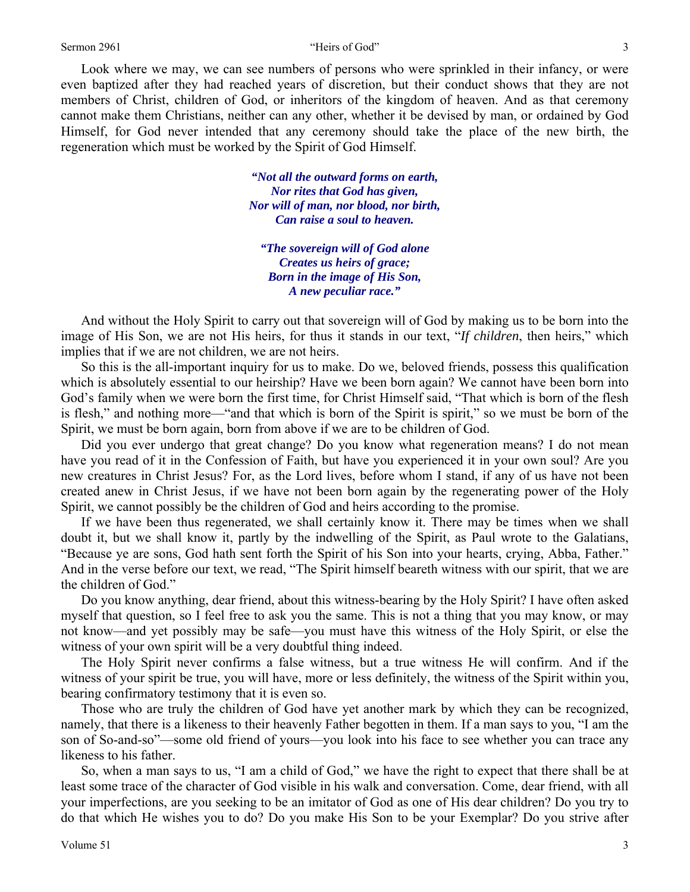### Sermon 2961 3

 Look where we may, we can see numbers of persons who were sprinkled in their infancy, or were even baptized after they had reached years of discretion, but their conduct shows that they are not members of Christ, children of God, or inheritors of the kingdom of heaven. And as that ceremony cannot make them Christians, neither can any other, whether it be devised by man, or ordained by God Himself, for God never intended that any ceremony should take the place of the new birth, the regeneration which must be worked by the Spirit of God Himself.

> *"Not all the outward forms on earth, Nor rites that God has given, Nor will of man, nor blood, nor birth, Can raise a soul to heaven.*

*"The sovereign will of God alone Creates us heirs of grace; Born in the image of His Son, A new peculiar race."* 

 And without the Holy Spirit to carry out that sovereign will of God by making us to be born into the image of His Son, we are not His heirs, for thus it stands in our text, "*If children*, then heirs," which implies that if we are not children, we are not heirs.

 So this is the all-important inquiry for us to make. Do we, beloved friends, possess this qualification which is absolutely essential to our heirship? Have we been born again? We cannot have been born into God's family when we were born the first time, for Christ Himself said, "That which is born of the flesh is flesh," and nothing more—"and that which is born of the Spirit is spirit," so we must be born of the Spirit, we must be born again, born from above if we are to be children of God.

 Did you ever undergo that great change? Do you know what regeneration means? I do not mean have you read of it in the Confession of Faith, but have you experienced it in your own soul? Are you new creatures in Christ Jesus? For, as the Lord lives, before whom I stand, if any of us have not been created anew in Christ Jesus, if we have not been born again by the regenerating power of the Holy Spirit, we cannot possibly be the children of God and heirs according to the promise.

 If we have been thus regenerated, we shall certainly know it. There may be times when we shall doubt it, but we shall know it, partly by the indwelling of the Spirit, as Paul wrote to the Galatians, "Because ye are sons, God hath sent forth the Spirit of his Son into your hearts, crying, Abba, Father." And in the verse before our text, we read, "The Spirit himself beareth witness with our spirit, that we are the children of God."

 Do you know anything, dear friend, about this witness-bearing by the Holy Spirit? I have often asked myself that question, so I feel free to ask you the same. This is not a thing that you may know, or may not know—and yet possibly may be safe—you must have this witness of the Holy Spirit, or else the witness of your own spirit will be a very doubtful thing indeed.

 The Holy Spirit never confirms a false witness, but a true witness He will confirm. And if the witness of your spirit be true, you will have, more or less definitely, the witness of the Spirit within you, bearing confirmatory testimony that it is even so.

 Those who are truly the children of God have yet another mark by which they can be recognized, namely, that there is a likeness to their heavenly Father begotten in them. If a man says to you, "I am the son of So-and-so"—some old friend of yours—you look into his face to see whether you can trace any likeness to his father.

 So, when a man says to us, "I am a child of God," we have the right to expect that there shall be at least some trace of the character of God visible in his walk and conversation. Come, dear friend, with all your imperfections, are you seeking to be an imitator of God as one of His dear children? Do you try to do that which He wishes you to do? Do you make His Son to be your Exemplar? Do you strive after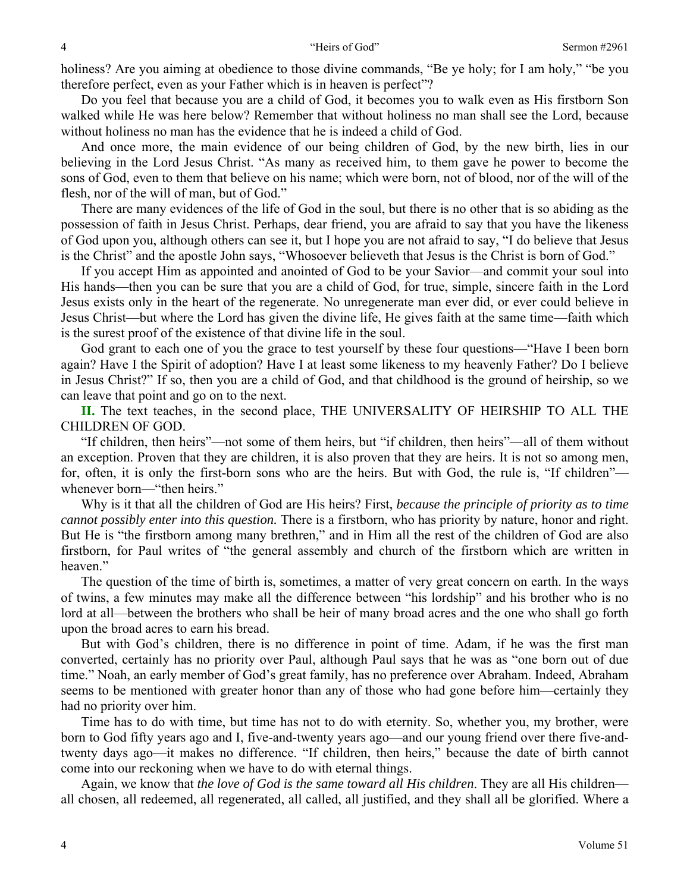holiness? Are you aiming at obedience to those divine commands, "Be ye holy; for I am holy," "be you therefore perfect, even as your Father which is in heaven is perfect"?

 Do you feel that because you are a child of God, it becomes you to walk even as His firstborn Son walked while He was here below? Remember that without holiness no man shall see the Lord, because without holiness no man has the evidence that he is indeed a child of God.

 And once more, the main evidence of our being children of God, by the new birth, lies in our believing in the Lord Jesus Christ. "As many as received him, to them gave he power to become the sons of God, even to them that believe on his name; which were born, not of blood, nor of the will of the flesh, nor of the will of man, but of God."

 There are many evidences of the life of God in the soul, but there is no other that is so abiding as the possession of faith in Jesus Christ. Perhaps, dear friend, you are afraid to say that you have the likeness of God upon you, although others can see it, but I hope you are not afraid to say, "I do believe that Jesus is the Christ" and the apostle John says, "Whosoever believeth that Jesus is the Christ is born of God."

 If you accept Him as appointed and anointed of God to be your Savior—and commit your soul into His hands—then you can be sure that you are a child of God, for true, simple, sincere faith in the Lord Jesus exists only in the heart of the regenerate. No unregenerate man ever did, or ever could believe in Jesus Christ—but where the Lord has given the divine life, He gives faith at the same time—faith which is the surest proof of the existence of that divine life in the soul.

 God grant to each one of you the grace to test yourself by these four questions—"Have I been born again? Have I the Spirit of adoption? Have I at least some likeness to my heavenly Father? Do I believe in Jesus Christ?" If so, then you are a child of God, and that childhood is the ground of heirship, so we can leave that point and go on to the next.

**II.** The text teaches, in the second place, THE UNIVERSALITY OF HEIRSHIP TO ALL THE CHILDREN OF GOD.

 "If children, then heirs"—not some of them heirs, but "if children, then heirs"—all of them without an exception. Proven that they are children, it is also proven that they are heirs. It is not so among men, for, often, it is only the first-born sons who are the heirs. But with God, the rule is, "If children" whenever born—"then heirs."

 Why is it that all the children of God are His heirs? First, *because the principle of priority as to time cannot possibly enter into this question.* There is a firstborn, who has priority by nature, honor and right. But He is "the firstborn among many brethren," and in Him all the rest of the children of God are also firstborn, for Paul writes of "the general assembly and church of the firstborn which are written in heaven."

 The question of the time of birth is, sometimes, a matter of very great concern on earth. In the ways of twins, a few minutes may make all the difference between "his lordship" and his brother who is no lord at all—between the brothers who shall be heir of many broad acres and the one who shall go forth upon the broad acres to earn his bread.

 But with God's children, there is no difference in point of time. Adam, if he was the first man converted, certainly has no priority over Paul, although Paul says that he was as "one born out of due time." Noah, an early member of God's great family, has no preference over Abraham. Indeed, Abraham seems to be mentioned with greater honor than any of those who had gone before him—certainly they had no priority over him.

 Time has to do with time, but time has not to do with eternity. So, whether you, my brother, were born to God fifty years ago and I, five-and-twenty years ago—and our young friend over there five-andtwenty days ago—it makes no difference. "If children, then heirs," because the date of birth cannot come into our reckoning when we have to do with eternal things.

 Again, we know that *the love of God is the same toward all His children*. They are all His children all chosen, all redeemed, all regenerated, all called, all justified, and they shall all be glorified. Where a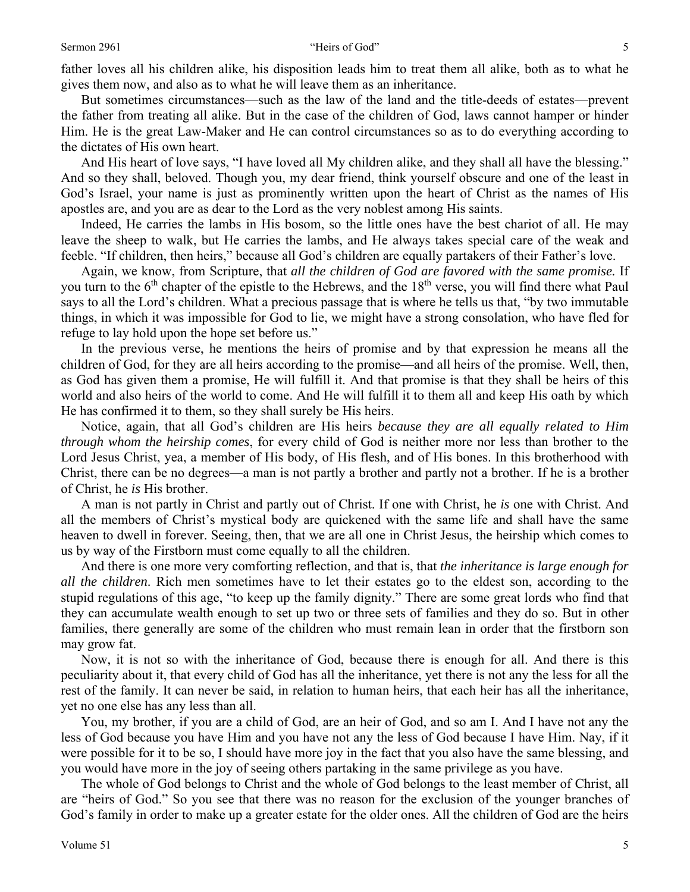### Sermon 2961 "Heirs of God" 5

father loves all his children alike, his disposition leads him to treat them all alike, both as to what he gives them now, and also as to what he will leave them as an inheritance.

 But sometimes circumstances—such as the law of the land and the title-deeds of estates—prevent the father from treating all alike. But in the case of the children of God, laws cannot hamper or hinder Him. He is the great Law-Maker and He can control circumstances so as to do everything according to the dictates of His own heart.

 And His heart of love says, "I have loved all My children alike, and they shall all have the blessing." And so they shall, beloved. Though you, my dear friend, think yourself obscure and one of the least in God's Israel, your name is just as prominently written upon the heart of Christ as the names of His apostles are, and you are as dear to the Lord as the very noblest among His saints.

 Indeed, He carries the lambs in His bosom, so the little ones have the best chariot of all. He may leave the sheep to walk, but He carries the lambs, and He always takes special care of the weak and feeble. "If children, then heirs," because all God's children are equally partakers of their Father's love.

 Again, we know, from Scripture, that *all the children of God are favored with the same promise.* If you turn to the  $6<sup>th</sup>$  chapter of the epistle to the Hebrews, and the  $18<sup>th</sup>$  verse, you will find there what Paul says to all the Lord's children. What a precious passage that is where he tells us that, "by two immutable things, in which it was impossible for God to lie, we might have a strong consolation, who have fled for refuge to lay hold upon the hope set before us."

 In the previous verse, he mentions the heirs of promise and by that expression he means all the children of God, for they are all heirs according to the promise—and all heirs of the promise. Well, then, as God has given them a promise, He will fulfill it. And that promise is that they shall be heirs of this world and also heirs of the world to come. And He will fulfill it to them all and keep His oath by which He has confirmed it to them, so they shall surely be His heirs.

 Notice, again, that all God's children are His heirs *because they are all equally related to Him through whom the heirship comes*, for every child of God is neither more nor less than brother to the Lord Jesus Christ, yea, a member of His body, of His flesh, and of His bones. In this brotherhood with Christ, there can be no degrees—a man is not partly a brother and partly not a brother. If he is a brother of Christ, he *is* His brother.

 A man is not partly in Christ and partly out of Christ. If one with Christ, he *is* one with Christ. And all the members of Christ's mystical body are quickened with the same life and shall have the same heaven to dwell in forever. Seeing, then, that we are all one in Christ Jesus, the heirship which comes to us by way of the Firstborn must come equally to all the children.

 And there is one more very comforting reflection, and that is, that *the inheritance is large enough for all the children*. Rich men sometimes have to let their estates go to the eldest son, according to the stupid regulations of this age, "to keep up the family dignity." There are some great lords who find that they can accumulate wealth enough to set up two or three sets of families and they do so. But in other families, there generally are some of the children who must remain lean in order that the firstborn son may grow fat.

 Now, it is not so with the inheritance of God, because there is enough for all. And there is this peculiarity about it, that every child of God has all the inheritance, yet there is not any the less for all the rest of the family. It can never be said, in relation to human heirs, that each heir has all the inheritance, yet no one else has any less than all.

 You, my brother, if you are a child of God, are an heir of God, and so am I. And I have not any the less of God because you have Him and you have not any the less of God because I have Him. Nay, if it were possible for it to be so, I should have more joy in the fact that you also have the same blessing, and you would have more in the joy of seeing others partaking in the same privilege as you have.

 The whole of God belongs to Christ and the whole of God belongs to the least member of Christ, all are "heirs of God." So you see that there was no reason for the exclusion of the younger branches of God's family in order to make up a greater estate for the older ones. All the children of God are the heirs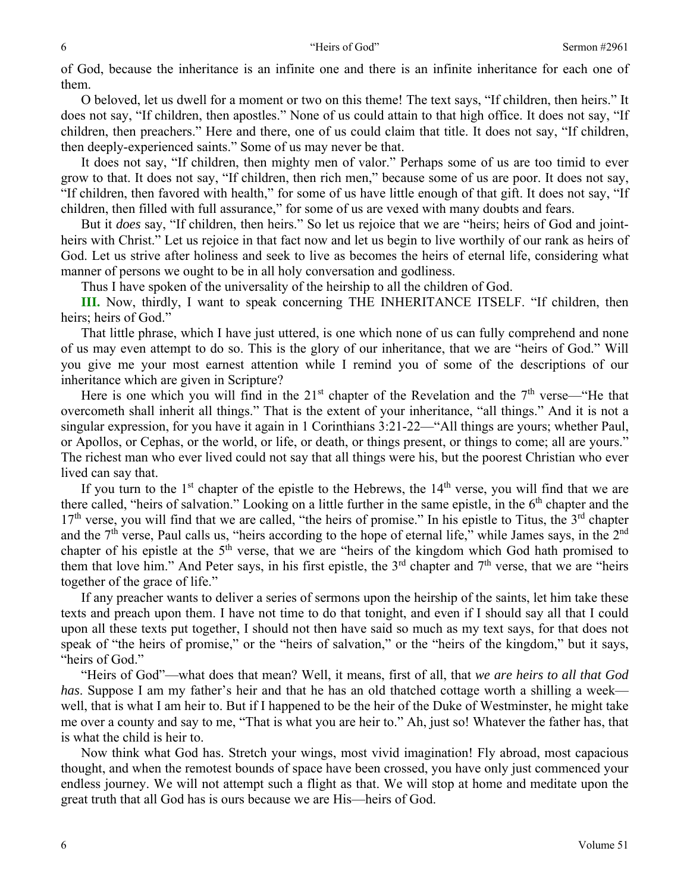of God, because the inheritance is an infinite one and there is an infinite inheritance for each one of them.

 O beloved, let us dwell for a moment or two on this theme! The text says, "If children, then heirs." It does not say, "If children, then apostles." None of us could attain to that high office. It does not say, "If children, then preachers." Here and there, one of us could claim that title. It does not say, "If children, then deeply-experienced saints." Some of us may never be that.

 It does not say, "If children, then mighty men of valor." Perhaps some of us are too timid to ever grow to that. It does not say, "If children, then rich men," because some of us are poor. It does not say, "If children, then favored with health," for some of us have little enough of that gift. It does not say, "If children, then filled with full assurance," for some of us are vexed with many doubts and fears.

 But it *does* say, "If children, then heirs." So let us rejoice that we are "heirs; heirs of God and jointheirs with Christ." Let us rejoice in that fact now and let us begin to live worthily of our rank as heirs of God. Let us strive after holiness and seek to live as becomes the heirs of eternal life, considering what manner of persons we ought to be in all holy conversation and godliness.

Thus I have spoken of the universality of the heirship to all the children of God.

**III.** Now, thirdly, I want to speak concerning THE INHERITANCE ITSELF. "If children, then heirs; heirs of God."

 That little phrase, which I have just uttered, is one which none of us can fully comprehend and none of us may even attempt to do so. This is the glory of our inheritance, that we are "heirs of God." Will you give me your most earnest attention while I remind you of some of the descriptions of our inheritance which are given in Scripture?

Here is one which you will find in the  $21<sup>st</sup>$  chapter of the Revelation and the  $7<sup>th</sup>$  verse—"He that overcometh shall inherit all things." That is the extent of your inheritance, "all things." And it is not a singular expression, for you have it again in 1 Corinthians 3:21-22—"All things are yours; whether Paul, or Apollos, or Cephas, or the world, or life, or death, or things present, or things to come; all are yours." The richest man who ever lived could not say that all things were his, but the poorest Christian who ever lived can say that.

If you turn to the  $1<sup>st</sup>$  chapter of the epistle to the Hebrews, the  $14<sup>th</sup>$  verse, you will find that we are there called, "heirs of salvation." Looking on a little further in the same epistle, in the  $6<sup>th</sup>$  chapter and the  $17<sup>th</sup>$  verse, you will find that we are called, "the heirs of promise." In his epistle to Titus, the  $3<sup>rd</sup>$  chapter and the 7<sup>th</sup> verse, Paul calls us, "heirs according to the hope of eternal life," while James says, in the 2<sup>nd</sup> chapter of his epistle at the  $5<sup>th</sup>$  verse, that we are "heirs of the kingdom which God hath promised to them that love him." And Peter says, in his first epistle, the  $3<sup>rd</sup>$  chapter and  $7<sup>th</sup>$  verse, that we are "heirs" together of the grace of life."

 If any preacher wants to deliver a series of sermons upon the heirship of the saints, let him take these texts and preach upon them. I have not time to do that tonight, and even if I should say all that I could upon all these texts put together, I should not then have said so much as my text says, for that does not speak of "the heirs of promise," or the "heirs of salvation," or the "heirs of the kingdom," but it says, "heirs of God."

 "Heirs of God"—what does that mean? Well, it means, first of all, that *we are heirs to all that God has*. Suppose I am my father's heir and that he has an old thatched cottage worth a shilling a week well, that is what I am heir to. But if I happened to be the heir of the Duke of Westminster, he might take me over a county and say to me, "That is what you are heir to." Ah, just so! Whatever the father has, that is what the child is heir to.

 Now think what God has. Stretch your wings, most vivid imagination! Fly abroad, most capacious thought, and when the remotest bounds of space have been crossed, you have only just commenced your endless journey. We will not attempt such a flight as that. We will stop at home and meditate upon the great truth that all God has is ours because we are His—heirs of God.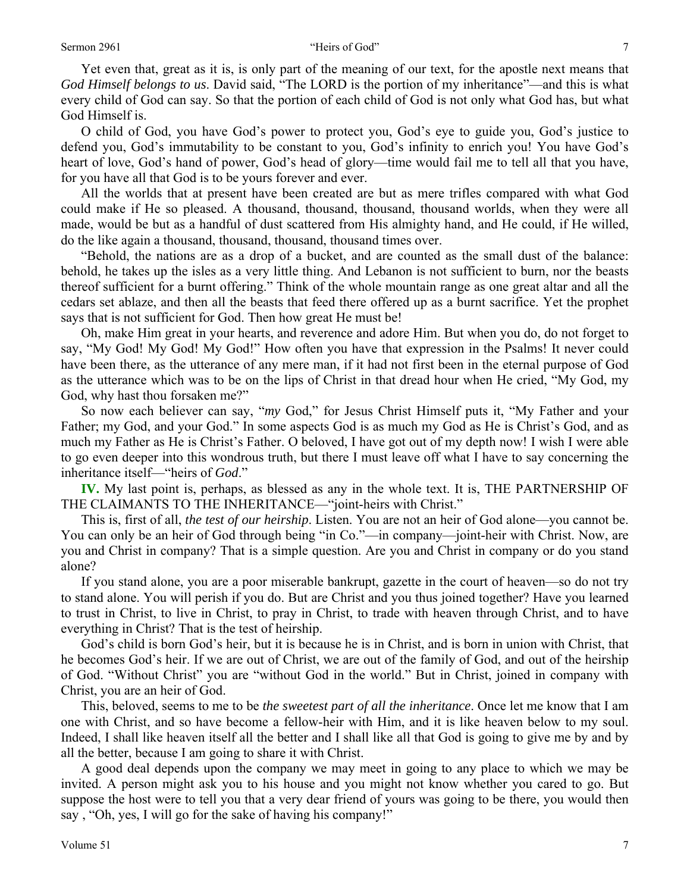#### Sermon 2961 The Contract of God Contract Contract of God Contract Contract Oriental Automobile Contract Oriental Automobile Contract Oriental Automobile Contract Oriental Automobile Contract Oriental Automobile Contract Or

 Yet even that, great as it is, is only part of the meaning of our text, for the apostle next means that *God Himself belongs to us*. David said, "The LORD is the portion of my inheritance"—and this is what every child of God can say. So that the portion of each child of God is not only what God has, but what God Himself is.

 O child of God, you have God's power to protect you, God's eye to guide you, God's justice to defend you, God's immutability to be constant to you, God's infinity to enrich you! You have God's heart of love, God's hand of power, God's head of glory—time would fail me to tell all that you have, for you have all that God is to be yours forever and ever.

 All the worlds that at present have been created are but as mere trifles compared with what God could make if He so pleased. A thousand, thousand, thousand, thousand worlds, when they were all made, would be but as a handful of dust scattered from His almighty hand, and He could, if He willed, do the like again a thousand, thousand, thousand, thousand times over.

 "Behold, the nations are as a drop of a bucket, and are counted as the small dust of the balance: behold, he takes up the isles as a very little thing. And Lebanon is not sufficient to burn, nor the beasts thereof sufficient for a burnt offering." Think of the whole mountain range as one great altar and all the cedars set ablaze, and then all the beasts that feed there offered up as a burnt sacrifice. Yet the prophet says that is not sufficient for God. Then how great He must be!

 Oh, make Him great in your hearts, and reverence and adore Him. But when you do, do not forget to say, "My God! My God! My God!" How often you have that expression in the Psalms! It never could have been there, as the utterance of any mere man, if it had not first been in the eternal purpose of God as the utterance which was to be on the lips of Christ in that dread hour when He cried, "My God, my God, why hast thou forsaken me?"

 So now each believer can say, "*my* God," for Jesus Christ Himself puts it, "My Father and your Father; my God, and your God." In some aspects God is as much my God as He is Christ's God, and as much my Father as He is Christ's Father. O beloved, I have got out of my depth now! I wish I were able to go even deeper into this wondrous truth, but there I must leave off what I have to say concerning the inheritance itself—"heirs of *God*."

**IV.** My last point is, perhaps, as blessed as any in the whole text. It is, THE PARTNERSHIP OF THE CLAIMANTS TO THE INHERITANCE—"joint-heirs with Christ."

 This is, first of all, *the test of our heirship*. Listen. You are not an heir of God alone—you cannot be. You can only be an heir of God through being "in Co."—in company—joint-heir with Christ. Now, are you and Christ in company? That is a simple question. Are you and Christ in company or do you stand alone?

 If you stand alone, you are a poor miserable bankrupt, gazette in the court of heaven—so do not try to stand alone. You will perish if you do. But are Christ and you thus joined together? Have you learned to trust in Christ, to live in Christ, to pray in Christ, to trade with heaven through Christ, and to have everything in Christ? That is the test of heirship.

 God's child is born God's heir, but it is because he is in Christ, and is born in union with Christ, that he becomes God's heir. If we are out of Christ, we are out of the family of God, and out of the heirship of God. "Without Christ" you are "without God in the world." But in Christ, joined in company with Christ, you are an heir of God.

 This, beloved, seems to me to be *the sweetest part of all the inheritance*. Once let me know that I am one with Christ, and so have become a fellow-heir with Him, and it is like heaven below to my soul. Indeed, I shall like heaven itself all the better and I shall like all that God is going to give me by and by all the better, because I am going to share it with Christ.

 A good deal depends upon the company we may meet in going to any place to which we may be invited. A person might ask you to his house and you might not know whether you cared to go. But suppose the host were to tell you that a very dear friend of yours was going to be there, you would then say , "Oh, yes, I will go for the sake of having his company!"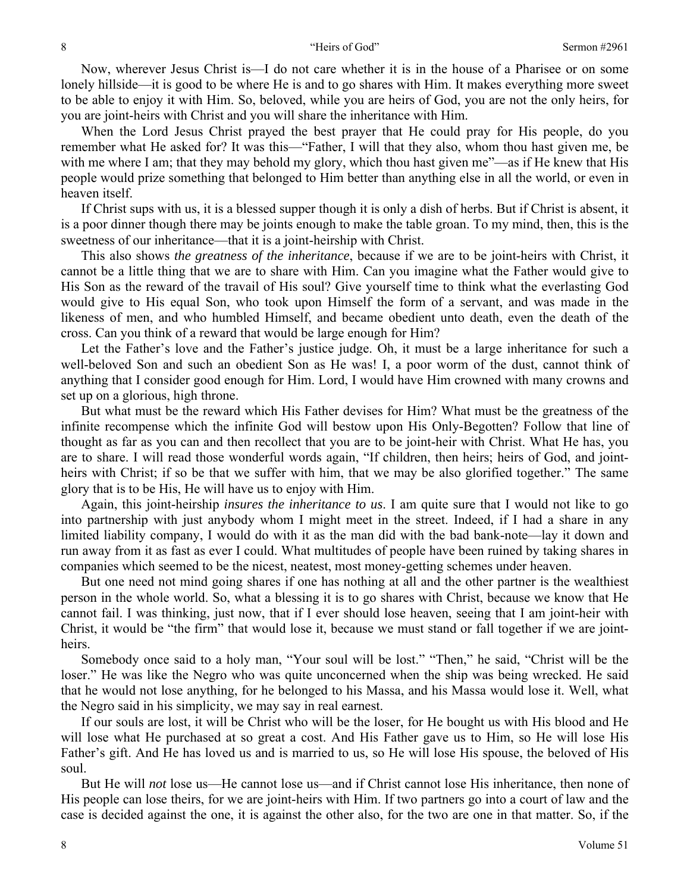Now, wherever Jesus Christ is—I do not care whether it is in the house of a Pharisee or on some lonely hillside—it is good to be where He is and to go shares with Him. It makes everything more sweet to be able to enjoy it with Him. So, beloved, while you are heirs of God, you are not the only heirs, for you are joint-heirs with Christ and you will share the inheritance with Him.

 When the Lord Jesus Christ prayed the best prayer that He could pray for His people, do you remember what He asked for? It was this—"Father, I will that they also, whom thou hast given me, be with me where I am; that they may behold my glory, which thou hast given me"—as if He knew that His people would prize something that belonged to Him better than anything else in all the world, or even in heaven itself.

 If Christ sups with us, it is a blessed supper though it is only a dish of herbs. But if Christ is absent, it is a poor dinner though there may be joints enough to make the table groan. To my mind, then, this is the sweetness of our inheritance—that it is a joint-heirship with Christ.

 This also shows *the greatness of the inheritance*, because if we are to be joint-heirs with Christ, it cannot be a little thing that we are to share with Him. Can you imagine what the Father would give to His Son as the reward of the travail of His soul? Give yourself time to think what the everlasting God would give to His equal Son, who took upon Himself the form of a servant, and was made in the likeness of men, and who humbled Himself, and became obedient unto death, even the death of the cross. Can you think of a reward that would be large enough for Him?

 Let the Father's love and the Father's justice judge. Oh, it must be a large inheritance for such a well-beloved Son and such an obedient Son as He was! I, a poor worm of the dust, cannot think of anything that I consider good enough for Him. Lord, I would have Him crowned with many crowns and set up on a glorious, high throne.

 But what must be the reward which His Father devises for Him? What must be the greatness of the infinite recompense which the infinite God will bestow upon His Only-Begotten? Follow that line of thought as far as you can and then recollect that you are to be joint-heir with Christ. What He has, you are to share. I will read those wonderful words again, "If children, then heirs; heirs of God, and jointheirs with Christ; if so be that we suffer with him, that we may be also glorified together." The same glory that is to be His, He will have us to enjoy with Him.

 Again, this joint-heirship *insures the inheritance to us*. I am quite sure that I would not like to go into partnership with just anybody whom I might meet in the street. Indeed, if I had a share in any limited liability company, I would do with it as the man did with the bad bank-note—lay it down and run away from it as fast as ever I could. What multitudes of people have been ruined by taking shares in companies which seemed to be the nicest, neatest, most money-getting schemes under heaven.

 But one need not mind going shares if one has nothing at all and the other partner is the wealthiest person in the whole world. So, what a blessing it is to go shares with Christ, because we know that He cannot fail. I was thinking, just now, that if I ever should lose heaven, seeing that I am joint-heir with Christ, it would be "the firm" that would lose it, because we must stand or fall together if we are jointheirs.

 Somebody once said to a holy man, "Your soul will be lost." "Then," he said, "Christ will be the loser." He was like the Negro who was quite unconcerned when the ship was being wrecked. He said that he would not lose anything, for he belonged to his Massa, and his Massa would lose it. Well, what the Negro said in his simplicity, we may say in real earnest.

 If our souls are lost, it will be Christ who will be the loser, for He bought us with His blood and He will lose what He purchased at so great a cost. And His Father gave us to Him, so He will lose His Father's gift. And He has loved us and is married to us, so He will lose His spouse, the beloved of His soul.

 But He will *not* lose us—He cannot lose us—and if Christ cannot lose His inheritance, then none of His people can lose theirs, for we are joint-heirs with Him. If two partners go into a court of law and the case is decided against the one, it is against the other also, for the two are one in that matter. So, if the